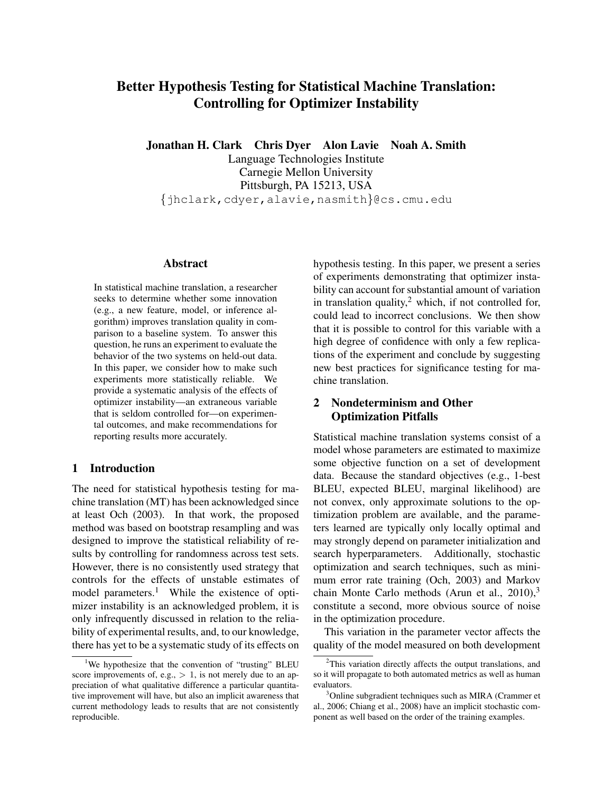# <span id="page-0-3"></span>Better Hypothesis Testing for Statistical Machine Translation: Controlling for Optimizer Instability

Jonathan H. Clark Chris Dyer Alon Lavie Noah A. Smith

Language Technologies Institute Carnegie Mellon University Pittsburgh, PA 15213, USA {jhclark,cdyer,alavie,nasmith}@cs.cmu.edu

#### **Abstract**

In statistical machine translation, a researcher seeks to determine whether some innovation (e.g., a new feature, model, or inference algorithm) improves translation quality in comparison to a baseline system. To answer this question, he runs an experiment to evaluate the behavior of the two systems on held-out data. In this paper, we consider how to make such experiments more statistically reliable. We provide a systematic analysis of the effects of optimizer instability—an extraneous variable that is seldom controlled for—on experimental outcomes, and make recommendations for reporting results more accurately.

## 1 Introduction

The need for statistical hypothesis testing for machine translation (MT) has been acknowledged since at least Och (2003). In that work, the proposed method was based on bootstrap resampling and was designed to improve the statistical reliability of results by controlling for randomness across test sets. However, there is no consistently used strategy that controls for the effects of unstable estimates of model parameters.<sup>[1](#page-0-0)</sup> While the existence of optimizer instability is an acknowledged problem, it is only infrequently discussed in relation to the reliability of experimental results, and, to our knowledge, there has yet to be a systematic study of its effects on hypothesis testing. In this paper, we present a series of experiments demonstrating that optimizer instability can account for substantial amount of variation in translation quality, $^2$  $^2$  which, if not controlled for, could lead to incorrect conclusions. We then show that it is possible to control for this variable with a high degree of confidence with only a few replications of the experiment and conclude by suggesting new best practices for significance testing for machine translation.

# 2 Nondeterminism and Other Optimization Pitfalls

Statistical machine translation systems consist of a model whose parameters are estimated to maximize some objective function on a set of development data. Because the standard objectives (e.g., 1-best BLEU, expected BLEU, marginal likelihood) are not convex, only approximate solutions to the optimization problem are available, and the parameters learned are typically only locally optimal and may strongly depend on parameter initialization and search hyperparameters. Additionally, stochastic optimization and search techniques, such as minimum error rate training (Och, 2003) and Markov chain Monte Carlo methods (Arun et al.,  $2010$ ),<sup>[3](#page-0-2)</sup> constitute a second, more obvious source of noise in the optimization procedure.

This variation in the parameter vector affects the quality of the model measured on both development

<span id="page-0-0"></span><sup>&</sup>lt;sup>1</sup>We hypothesize that the convention of "trusting" BLEU score improvements of, e.g.,  $> 1$ , is not merely due to an appreciation of what qualitative difference a particular quantitative improvement will have, but also an implicit awareness that current methodology leads to results that are not consistently reproducible.

<span id="page-0-1"></span><sup>&</sup>lt;sup>2</sup>This variation directly affects the output translations, and so it will propagate to both automated metrics as well as human evaluators.

<span id="page-0-2"></span><sup>3</sup>Online subgradient techniques such as MIRA (Crammer et al., 2006; Chiang et al., 2008) have an implicit stochastic component as well based on the order of the training examples.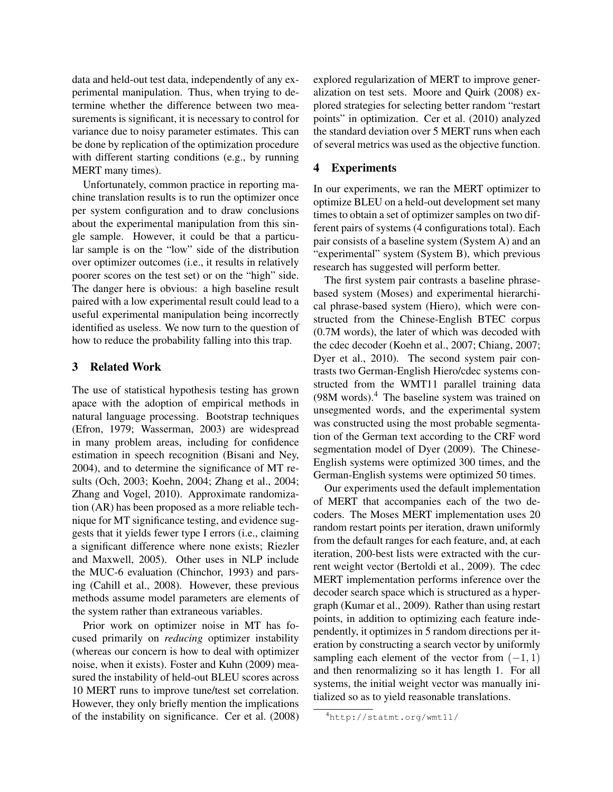data and held-out test data, independently of any experimental manipulation. Thus, when trying to determine whether the difference between two measurements is significant, it is necessary to control for variance due to noisy parameter estimates. This can be done by replication of the optimization procedure with different starting conditions (e.g., by running MERT many times).

Unfortunately, common practice in reporting machine translation results is to run the optimizer once per system configuration and to draw conclusions about the experimental manipulation from this single sample. However, it could be that a particular sample is on the "low" side of the distribution over optimizer outcomes (i.e., it results in relatively poorer scores on the test set) or on the "high" side. The danger here is obvious: a high baseline result paired with a low experimental result could lead to a useful experimental manipulation being incorrectly identified as useless. We now turn to the question of how to reduce the probability falling into this trap.

### <span id="page-1-1"></span>3 Related Work

The use of statistical hypothesis testing has grown apace with the adoption of empirical methods in natural language processing. Bootstrap techniques [\(Efron, 1979;](#page-0-3) [Wasserman, 2003\)](#page-0-3) are widespread in many problem areas, including for confidence estimation in speech recognition [\(Bisani and Ney,](#page-0-3) [2004\)](#page-0-3), and to determine the significance of MT results [\(Och, 2003;](#page-0-3) [Koehn, 2004;](#page-0-3) [Zhang et al., 2004;](#page-0-3) [Zhang and Vogel, 2010\)](#page-0-3). Approximate randomization (AR) has been proposed as a more reliable technique for MT significance testing, and evidence suggests that it yields fewer type I errors (i.e., claiming a significant difference where none exists; Riezler and Maxwell, 2005). Other uses in NLP include the MUC-6 evaluation [\(Chinchor, 1993\)](#page-0-3) and parsing [\(Cahill et al., 2008\)](#page-0-3). However, these previous methods assume model parameters are elements of the system rather than extraneous variables.

Prior work on optimizer noise in MT has focused primarily on *reducing* optimizer instability (whereas our concern is how to deal with optimizer noise, when it exists). [Foster and Kuhn \(2009\)](#page-0-3) measured the instability of held-out BLEU scores across 10 MERT runs to improve tune/test set correlation. However, they only briefly mention the implications of the instability on significance. [Cer et al. \(2008\)](#page-0-3) explored regularization of MERT to improve generalization on test sets. [Moore and Quirk \(2008\)](#page-0-3) explored strategies for selecting better random "restart points" in optimization. [Cer et al. \(2010\)](#page-0-3) analyzed the standard deviation over 5 MERT runs when each of several metrics was used as the objective function.

#### 4 Experiments

In our experiments, we ran the MERT optimizer to optimize BLEU on a held-out development set many times to obtain a set of optimizer samples on two different pairs of systems (4 configurations total). Each pair consists of a baseline system (System A) and an "experimental" system (System B), which previous research has suggested will perform better.

The first system pair contrasts a baseline phrasebased system (Moses) and experimental hierarchical phrase-based system (Hiero), which were constructed from the Chinese-English BTEC corpus (0.7M words), the later of which was decoded with the cdec decoder [\(Koehn et al., 2007;](#page-0-3) [Chiang, 2007;](#page-0-3) [Dyer et al., 2010\)](#page-0-3). The second system pair contrasts two German-English Hiero/cdec systems constructed from the WMT11 parallel training data (98M words).[4](#page-1-0) The baseline system was trained on unsegmented words, and the experimental system was constructed using the most probable segmentation of the German text according to the CRF word segmentation model of [Dyer \(2009\)](#page-0-3). The Chinese-English systems were optimized 300 times, and the German-English systems were optimized 50 times.

Our experiments used the default implementation of MERT that accompanies each of the two decoders. The Moses MERT implementation uses 20 random restart points per iteration, drawn uniformly from the default ranges for each feature, and, at each iteration, 200-best lists were extracted with the current weight vector [\(Bertoldi et al., 2009\)](#page-0-3). The cdec MERT implementation performs inference over the decoder search space which is structured as a hypergraph [\(Kumar et al., 2009\)](#page-0-3). Rather than using restart points, in addition to optimizing each feature independently, it optimizes in 5 random directions per iteration by constructing a search vector by uniformly sampling each element of the vector from  $(-1, 1)$ and then renormalizing so it has length 1. For all systems, the initial weight vector was manually initialized so as to yield reasonable translations.

<span id="page-1-0"></span><sup>4</sup><http://statmt.org/wmt11/>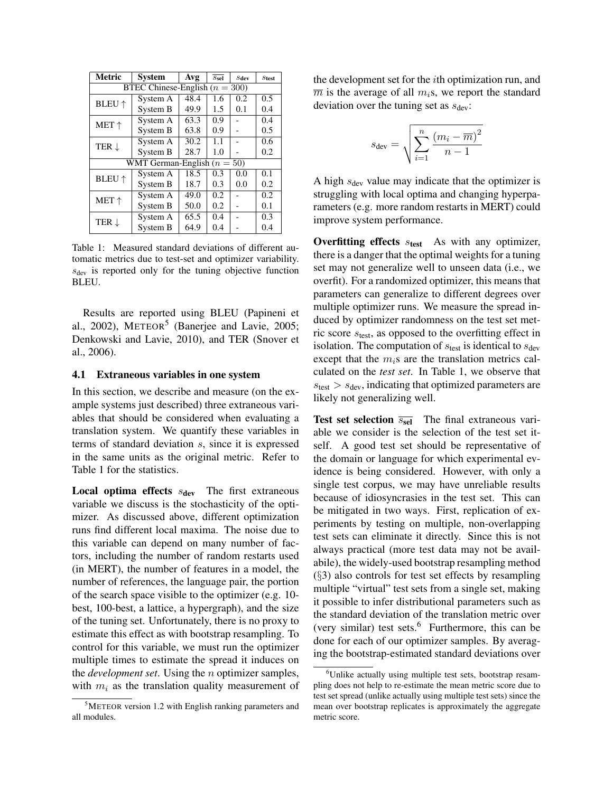| Metric                             | <b>System</b>   | Avg  | $S_{\text{sel}}$ | S <sub>dev</sub> | $S$ test |  |  |  |
|------------------------------------|-----------------|------|------------------|------------------|----------|--|--|--|
| BTEC Chinese-English ( $n = 300$ ) |                 |      |                  |                  |          |  |  |  |
| <b>BLEU</b> $\uparrow$             | System A        | 48.4 | 1.6              | 0.2              | 0.5      |  |  |  |
|                                    | System B        | 49.9 | 1.5              | 0.1              | 0.4      |  |  |  |
| $MET \uparrow$                     | System A        | 63.3 | 0.9              |                  | 0.4      |  |  |  |
|                                    | System B        | 63.8 | 0.9              |                  | 0.5      |  |  |  |
| TER $\downarrow$                   | System A        | 30.2 | 1.1              |                  | 0.6      |  |  |  |
|                                    | System B        | 28.7 | 1.0              |                  | 0.2      |  |  |  |
| WMT German-English $(n = 50)$      |                 |      |                  |                  |          |  |  |  |
| <b>BLEU</b> $\uparrow$             | System A        | 18.5 | 0.3              | 0.0              | 0.1      |  |  |  |
|                                    | System B        | 18.7 | 0.3              | 0.0              | 0.2      |  |  |  |
| $MET \uparrow$                     | System A        | 49.0 | 0.2              |                  | 0.2      |  |  |  |
|                                    | System B        | 50.0 | 0.2              |                  | 0.1      |  |  |  |
| TER $\downarrow$                   | System A        | 65.5 | 0.4              |                  | 0.3      |  |  |  |
|                                    | <b>System B</b> | 64.9 | 0.4              |                  | 0.4      |  |  |  |

<span id="page-2-1"></span>Table 1: Measured standard deviations of different automatic metrics due to test-set and optimizer variability.  $s_{\text{dev}}$  is reported only for the tuning objective function BLEU.

Results are reported using BLEU [\(Papineni et](#page-0-3) [al., 2002\)](#page-0-3), METEOR<sup>[5](#page-2-0)</sup> [\(Banerjee and Lavie, 2005;](#page-0-3) [Denkowski and Lavie, 2010\)](#page-0-3), and TER [\(Snover et](#page-0-3) [al., 2006\)](#page-0-3).

#### 4.1 Extraneous variables in one system

In this section, we describe and measure (on the example systems just described) three extraneous variables that should be considered when evaluating a translation system. We quantify these variables in terms of standard deviation s, since it is expressed in the same units as the original metric. Refer to Table [1](#page-2-1) for the statistics.

**Local optima effects**  $s_{\text{dev}}$  The first extraneous variable we discuss is the stochasticity of the optimizer. As discussed above, different optimization runs find different local maxima. The noise due to this variable can depend on many number of factors, including the number of random restarts used (in MERT), the number of features in a model, the number of references, the language pair, the portion of the search space visible to the optimizer (e.g. 10 best, 100-best, a lattice, a hypergraph), and the size of the tuning set. Unfortunately, there is no proxy to estimate this effect as with bootstrap resampling. To control for this variable, we must run the optimizer multiple times to estimate the spread it induces on the *development set*. Using the n optimizer samples, with  $m_i$  as the translation quality measurement of the development set for the ith optimization run, and  $\overline{m}$  is the average of all  $m_i$ s, we report the standard deviation over the tuning set as  $s_{\text{dev}}$ :

$$
s_{\text{dev}} = \sqrt{\sum_{i=1}^{n} \frac{(m_i - \overline{m})^2}{n-1}}
$$

A high  $s_{\text{dev}}$  value may indicate that the optimizer is struggling with local optima and changing hyperparameters (e.g. more random restarts in MERT) could improve system performance.

Overfitting effects  $s_{test}$  As with any optimizer, there is a danger that the optimal weights for a tuning set may not generalize well to unseen data (i.e., we overfit). For a randomized optimizer, this means that parameters can generalize to different degrees over multiple optimizer runs. We measure the spread induced by optimizer randomness on the test set metric score  $s_{\text{test}}$ , as opposed to the overfitting effect in isolation. The computation of  $s_{\text{test}}$  is identical to  $s_{\text{dev}}$ except that the  $m_i$ s are the translation metrics calculated on the *test set*. In Table [1,](#page-2-1) we observe that  $s_{\text{test}} > s_{\text{dev}}$ , indicating that optimized parameters are likely not generalizing well.

**Test set selection**  $\overline{s_{\text{sel}}}$  The final extraneous variable we consider is the selection of the test set itself. A good test set should be representative of the domain or language for which experimental evidence is being considered. However, with only a single test corpus, we may have unreliable results because of idiosyncrasies in the test set. This can be mitigated in two ways. First, replication of experiments by testing on multiple, non-overlapping test sets can eliminate it directly. Since this is not always practical (more test data may not be availabile), the widely-used bootstrap resampling method  $(\S$ [3\)](#page-1-1) also controls for test set effects by resampling multiple "virtual" test sets from a single set, making it possible to infer distributional parameters such as the standard deviation of the translation metric over (very similar) test sets. $6$  Furthermore, this can be done for each of our optimizer samples. By averaging the bootstrap-estimated standard deviations over

<span id="page-2-0"></span><sup>5</sup>METEOR version 1.2 with English ranking parameters and all modules.

<span id="page-2-2"></span><sup>&</sup>lt;sup>6</sup>Unlike actually using multiple test sets, bootstrap resampling does not help to re-estimate the mean metric score due to test set spread (unlike actually using multiple test sets) since the mean over bootstrap replicates is approximately the aggregate metric score.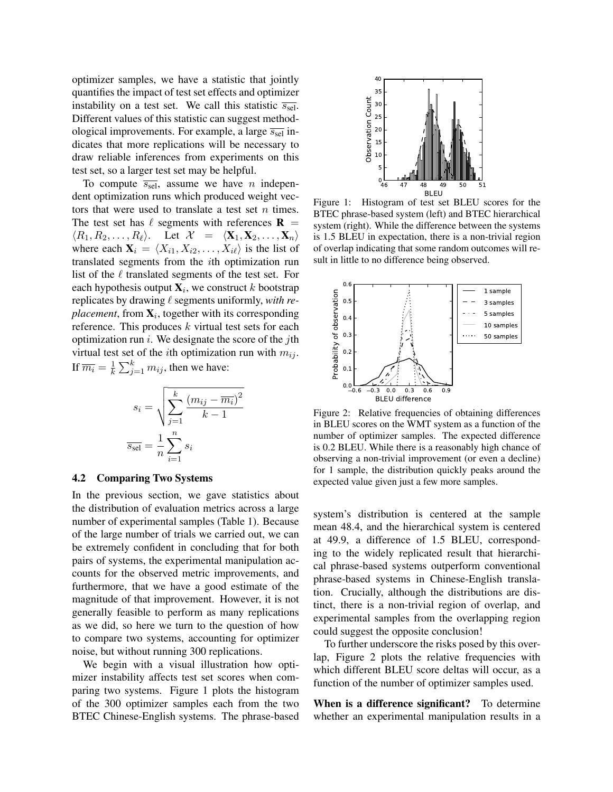optimizer samples, we have a statistic that jointly quantifies the impact of test set effects and optimizer instability on a test set. We call this statistic  $\overline{s_{\text{sel}}}$ . Different values of this statistic can suggest methodological improvements. For example, a large  $\overline{s_{\text{sel}}}$  indicates that more replications will be necessary to draw reliable inferences from experiments on this test set, so a larger test set may be helpful.

To compute  $\overline{s_{\text{sel}}}$ , assume we have *n* independent optimization runs which produced weight vectors that were used to translate a test set  $n$  times. The test set has  $\ell$  segments with references  $\bf{R}$  =  $\langle R_1, R_2, \ldots, R_\ell \rangle$ . Let  $\mathcal{X} = \langle \mathbf{X}_1, \mathbf{X}_2, \ldots, \mathbf{X}_n \rangle$ where each  $X_i = \langle X_{i1}, X_{i2}, \ldots, X_{i\ell} \rangle$  is the list of translated segments from the ith optimization run list of the  $\ell$  translated segments of the test set. For each hypothesis output  $\mathbf{X}_i$ , we construct  $k$  bootstrap replicates by drawing  $\ell$  segments uniformly, *with re* $placement$ , from  $\mathbf{X}_i$ , together with its corresponding reference. This produces  $k$  virtual test sets for each optimization run  $i$ . We designate the score of the *j*th virtual test set of the *i*th optimization run with  $m_{ij}$ . If  $\overline{m_i} = \frac{1}{k}$  $\frac{1}{k} \sum_{j=1}^{k} m_{ij}$ , then we have:

$$
s_i = \sqrt{\sum_{j=1}^k \frac{(m_{ij} - \overline{m_i})^2}{k - 1}}
$$

$$
\overline{s_{\text{sel}}} = \frac{1}{n} \sum_{i=1}^n s_i
$$

#### 4.2 Comparing Two Systems

In the previous section, we gave statistics about the distribution of evaluation metrics across a large number of experimental samples (Table [1\)](#page-2-1). Because of the large number of trials we carried out, we can be extremely confident in concluding that for both pairs of systems, the experimental manipulation accounts for the observed metric improvements, and furthermore, that we have a good estimate of the magnitude of that improvement. However, it is not generally feasible to perform as many replications as we did, so here we turn to the question of how to compare two systems, accounting for optimizer noise, but without running 300 replications.

We begin with a visual illustration how optimizer instability affects test set scores when comparing two systems. Figure [1](#page-3-0) plots the histogram of the 300 optimizer samples each from the two BTEC Chinese-English systems. The phrase-based



<span id="page-3-0"></span>Figure 1: Histogram of test set BLEU scores for the BTEC phrase-based system (left) and BTEC hierarchical system (right). While the difference between the systems is 1.5 BLEU in expectation, there is a non-trivial region of overlap indicating that some random outcomes will result in little to no difference being observed.



<span id="page-3-1"></span>Figure 2: Relative frequencies of obtaining differences in BLEU scores on the WMT system as a function of the number of optimizer samples. The expected difference is 0.2 BLEU. While there is a reasonably high chance of observing a non-trivial improvement (or even a decline) for 1 sample, the distribution quickly peaks around the expected value given just a few more samples.

system's distribution is centered at the sample mean 48.4, and the hierarchical system is centered at 49.9, a difference of 1.5 BLEU, corresponding to the widely replicated result that hierarchical phrase-based systems outperform conventional phrase-based systems in Chinese-English translation. Crucially, although the distributions are distinct, there is a non-trivial region of overlap, and experimental samples from the overlapping region could suggest the opposite conclusion!

To further underscore the risks posed by this overlap, Figure [2](#page-3-1) plots the relative frequencies with which different BLEU score deltas will occur, as a function of the number of optimizer samples used.

When is a difference significant? To determine whether an experimental manipulation results in a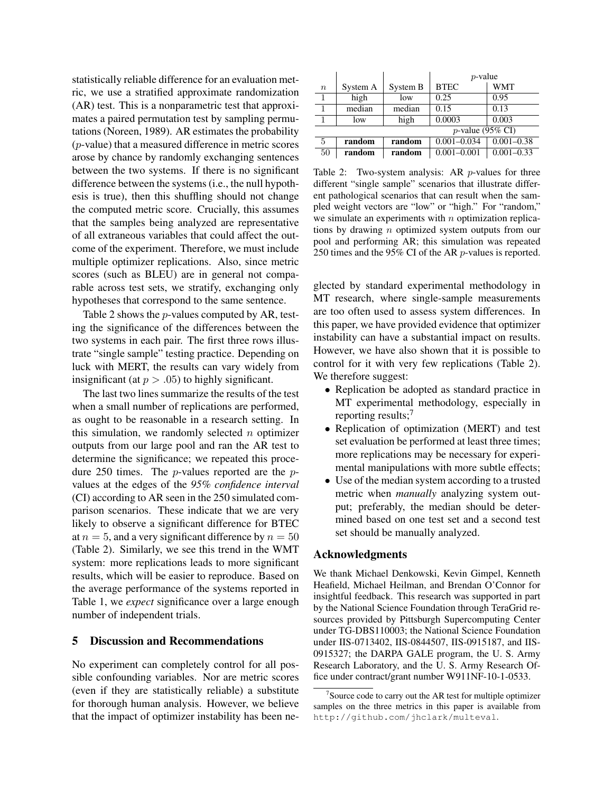statistically reliable difference for an evaluation metric, we use a stratified approximate randomization (AR) test. This is a nonparametric test that approximates a paired permutation test by sampling permutations [\(Noreen, 1989\)](#page-0-3). AR estimates the probability (p-value) that a measured difference in metric scores arose by chance by randomly exchanging sentences between the two systems. If there is no significant difference between the systems (i.e., the null hypothesis is true), then this shuffling should not change the computed metric score. Crucially, this assumes that the samples being analyzed are representative of all extraneous variables that could affect the outcome of the experiment. Therefore, we must include multiple optimizer replications. Also, since metric scores (such as BLEU) are in general not comparable across test sets, we stratify, exchanging only hypotheses that correspond to the same sentence.

Table [2](#page-4-0) shows the p-values computed by AR, testing the significance of the differences between the two systems in each pair. The first three rows illustrate "single sample" testing practice. Depending on luck with MERT, the results can vary widely from insignificant (at  $p > .05$ ) to highly significant.

The last two lines summarize the results of the test when a small number of replications are performed, as ought to be reasonable in a research setting. In this simulation, we randomly selected  $n$  optimizer outputs from our large pool and ran the AR test to determine the significance; we repeated this procedure 250 times. The p-values reported are the pvalues at the edges of the *95% confidence interval* (CI) according to AR seen in the 250 simulated comparison scenarios. These indicate that we are very likely to observe a significant difference for BTEC at  $n = 5$ , and a very significant difference by  $n = 50$ (Table [2\)](#page-4-0). Similarly, we see this trend in the WMT system: more replications leads to more significant results, which will be easier to reproduce. Based on the average performance of the systems reported in Table [1,](#page-2-1) we *expect* significance over a large enough number of independent trials.

#### 5 Discussion and Recommendations

No experiment can completely control for all possible confounding variables. Nor are metric scores (even if they are statistically reliable) a substitute for thorough human analysis. However, we believe that the impact of optimizer instability has been ne-

|                     |          |          | $p$ -value      |                |  |
|---------------------|----------|----------|-----------------|----------------|--|
| $\boldsymbol{n}$    | System A | System B | <b>BTEC</b>     | <b>WMT</b>     |  |
|                     | high     | low      | 0.25            | 0.95           |  |
| 1                   | median   | median   | 0.15            | 0.13           |  |
|                     | low      | high     | 0.0003          | 0.003          |  |
| $p$ -value (95% CI) |          |          |                 |                |  |
| 5                   | random   | random   | $0.001 - 0.034$ | $0.001 - 0.38$ |  |
| 50                  | random   | random   | $0.001 - 0.001$ | $0.001 - 0.33$ |  |

<span id="page-4-0"></span>Table 2: Two-system analysis: AR  $p$ -values for three different "single sample" scenarios that illustrate different pathological scenarios that can result when the sampled weight vectors are "low" or "high." For "random," we simulate an experiments with  $n$  optimization replications by drawing n optimized system outputs from our pool and performing AR; this simulation was repeated 250 times and the 95% CI of the AR p-values is reported.

glected by standard experimental methodology in MT research, where single-sample measurements are too often used to assess system differences. In this paper, we have provided evidence that optimizer instability can have a substantial impact on results. However, we have also shown that it is possible to control for it with very few replications (Table [2\)](#page-4-0). We therefore suggest:

- Replication be adopted as standard practice in MT experimental methodology, especially in reporting results;<sup>[7](#page-4-1)</sup>
- Replication of optimization (MERT) and test set evaluation be performed at least three times; more replications may be necessary for experimental manipulations with more subtle effects;
- Use of the median system according to a trusted metric when *manually* analyzing system output; preferably, the median should be determined based on one test set and a second test set should be manually analyzed.

#### Acknowledgments

We thank Michael Denkowski, Kevin Gimpel, Kenneth Heafield, Michael Heilman, and Brendan O'Connor for insightful feedback. This research was supported in part by the National Science Foundation through TeraGrid resources provided by Pittsburgh Supercomputing Center under TG-DBS110003; the National Science Foundation under IIS-0713402, IIS-0844507, IIS-0915187, and IIS-0915327; the DARPA GALE program, the U. S. Army Research Laboratory, and the U. S. Army Research Office under contract/grant number W911NF-10-1-0533.

<span id="page-4-1"></span><sup>&</sup>lt;sup>7</sup>Source code to carry out the AR test for multiple optimizer samples on the three metrics in this paper is available from <http://github.com/jhclark/multeval>.